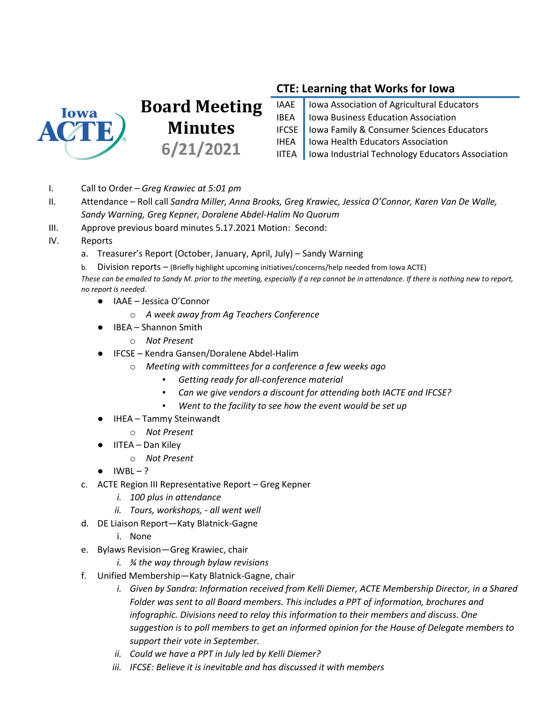

## **Board Meeting Minutes 6/21/2021**

## **CTE: Learning that Works for Iowa**

IAAE | Iowa Association of Agricultural Educators IBEA Iowa Business Education Association IFCSE | Iowa Family & Consumer Sciences Educators IHEA | Iowa Health Educators Association IITEA | Iowa Industrial Technology Educators Association

- I. Call to Order *Greg Krawiec at 5:01 pm*
- II. Attendance Roll call *Sandra Miller, Anna Brooks, Greg Krawiec, Jessica O'Connor, Karen Van De Walle, Sandy Warning, Greg Kepner, Doralene Abdel-Halim No Quorum*
- III. Approve previous board minutes 5.17.2021 Motion: Second:
- IV. Reports
	- a. Treasurer's Report (October, January, April, July) Sandy Warning
	- b. Division reports (Briefly highlight upcoming initiatives/concerns/help needed from Iowa ACTE)

*These can be emailed to Sandy M. prior to the meeting, especially if a rep cannot be in attendance. If there is nothing new to report, no report is needed.*

- IAAE Jessica O'Connor
	- o *A week away from Ag Teachers Conference*
- IBEA Shannon Smith
	- o *Not Present*
	- IFCSE Kendra Gansen/Doralene Abdel-Halim
		- o *Meeting with committees for a conference a few weeks ago*
			- *Getting ready for all-conference material*
			- *Can we give vendors a discount for attending both IACTE and IFCSE?*
			- *Went to the facility to see how the event would be set up*
- IHEA Tammy Steinwandt
	- o *Not Present*
	- **IITEA Dan Kiley** 
		- o *Not Present*
- $\bullet$  IWBL-?
- c. ACTE Region III Representative Report Greg Kepner
	- *i. 100 plus in attendance*
	- *ii. Tours, workshops, - all went well*
- d. DE Liaison Report—Katy Blatnick-Gagne
	- i. None
- e. Bylaws Revision—Greg Krawiec, chair
	- *i. ¾ the way through bylaw revisions*
- f. Unified Membership—Katy Blatnick-Gagne, chair
	- *i. Given by Sandra: Information received from Kelli Diemer, ACTE Membership Director, in a Shared Folder was sent to all Board members. This includes a PPT of information, brochures and infographic. Divisions need to relay this information to their members and discuss. One suggestion is to poll members to get an informed opinion for the House of Delegate members to support their vote in September.*
	- *ii. Could we have a PPT in July led by Kelli Diemer?*
	- *iii. IFCSE: Believe it is inevitable and has discussed it with members*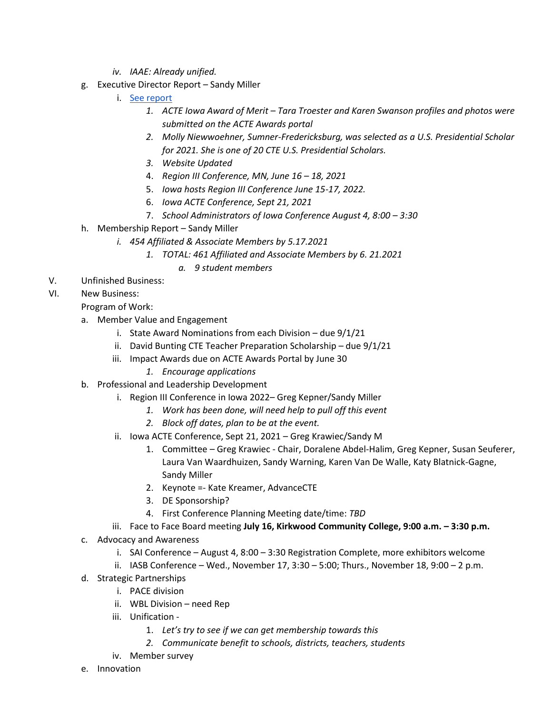- *iv. IAAE: Already unified.*
- g. Executive Director Report Sandy Miller
	- i. [See report](https://docs.google.com/document/d/1otgbvXyXANTTHCmbUv0e9PUc43Aj65LlZ0xUmRX33H8/edit?usp=sharing)
		- *1. ACTE Iowa Award of Merit – Tara Troester and Karen Swanson profiles and photos were submitted on the ACTE Awards portal*
		- *2. Molly Niewwoehner, Sumner-Fredericksburg, was selected as a U.S. Presidential Scholar for 2021. She is one of 20 CTE U.S. Presidential Scholars.*
		- *3. Website Updated*
		- 4. *Region III Conference, MN, June 16 – 18, 2021*
		- 5. *Iowa hosts Region III Conference June 15-17, 2022.*
		- 6. *Iowa ACTE Conference, Sept 21, 2021*
		- 7. *School Administrators of Iowa Conference August 4, 8:00 – 3:30*
- h. Membership Report Sandy Miller
	- *i. 454 Affiliated & Associate Members by 5.17.2021*
		- *1. TOTAL: 461 Affiliated and Associate Members by 6. 21.2021*
			- *a. 9 student members*
- V. Unfinished Business:
- VI. New Business:

## Program of Work:

- a. Member Value and Engagement
	- i. State Award Nominations from each Division due 9/1/21
	- ii. David Bunting CTE Teacher Preparation Scholarship due 9/1/21
	- iii. Impact Awards due on ACTE Awards Portal by June 30
		- *1. Encourage applications*
- b. Professional and Leadership Development
	- i. Region III Conference in Iowa 2022– Greg Kepner/Sandy Miller
		- *1. Work has been done, will need help to pull off this event*
		- *2. Block off dates, plan to be at the event.*
	- ii. Iowa ACTE Conference, Sept 21, 2021 Greg Krawiec/Sandy M
		- 1. Committee Greg Krawiec Chair, Doralene Abdel-Halim, Greg Kepner, Susan Seuferer, Laura Van Waardhuizen, Sandy Warning, Karen Van De Walle, Katy Blatnick-Gagne, Sandy Miller
		- 2. Keynote =- Kate Kreamer, AdvanceCTE
		- 3. DE Sponsorship?
		- 4. First Conference Planning Meeting date/time: *TBD*
	- iii. Face to Face Board meeting **July 16, Kirkwood Community College, 9:00 a.m. – 3:30 p.m.**
- c. Advocacy and Awareness
	- i. SAI Conference August 4, 8:00 3:30 Registration Complete, more exhibitors welcome
	- ii. IASB Conference Wed., November 17, 3:30 5:00; Thurs., November 18, 9:00 2 p.m.
- d. Strategic Partnerships
	- i. PACE division
		- ii. WBL Division need Rep
		- iii. Unification
			- 1. *Let's try to see if we can get membership towards this*
			- *2. Communicate benefit to schools, districts, teachers, students*
		- iv. Member survey
- e. Innovation